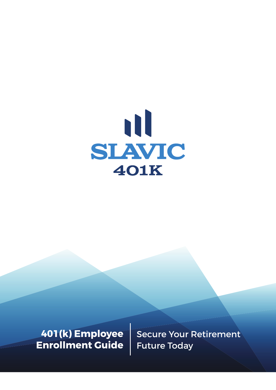

**401(k) Employee Enrollment Guide** Secure Your Retirement Future Today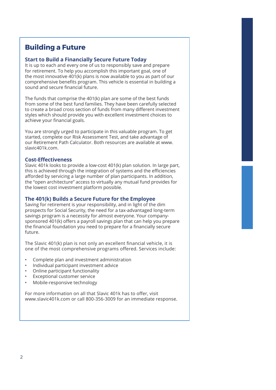# **Building a Future**

#### **Start to Build a Financially Secure Future Today**

It is up to each and every one of us to responsibly save and prepare for retirement. To help you accomplish this important goal, one of the most innovative 401(k) plans is now available to you as part of our comprehensive benefits program. This vehicle is essential in building a sound and secure financial future.

The funds that comprise the 401(k) plan are some of the best funds from some of the best fund families. They have been carefully selected to create a broad cross section of funds from many different investment styles which should provide you with excellent investment choices to achieve your financial goals.

You are strongly urged to participate in this valuable program. To get started, complete our Risk Assessment Test, and take advantage of our Retirement Path Calculator. Both resources are available at www. slavic401k.com.

#### **Cost-Effectiveness**

Slavic 401k looks to provide a low-cost 401(k) plan solution. In large part, this is achieved through the integration of systems and the efficiencies afforded by servicing a large number of plan participants. In addition, the "open architecture" access to virtually any mutual fund provides for the lowest cost investment platform possible.

### **The 401(k) Builds a Secure Future for the Employee**

Saving for retirement is your responsibility, and in light of the dim prospects for Social Security, the need for a tax-advantaged long-term savings program is a necessity for almost everyone. Your companysponsored 401(k) offers a payroll savings plan that can help you prepare the financial foundation you need to prepare for a financially secure future.

The Slavic 401(k) plan is not only an excellent financial vehicle, it is one of the most comprehensive programs offered. Services include:

- Complete plan and investment administration
- Individual participant investment advice
- Online participant functionality
- Exceptional customer service
- Mobile-responsive technology

For more information on all that Slavic 401k has to offer, visit www.slavic401k.com or call 800-356-3009 for an immediate response.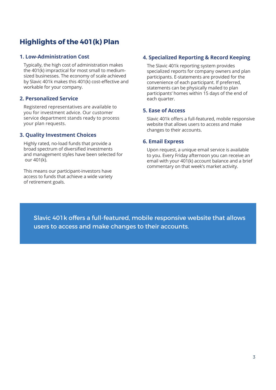# **Highlights of the 401(k) Plan**

### **1. Low-Administration Cost**

Typically, the high cost of administration makes the 401(k) impractical for most small to mediumsized businesses. The economy of scale achieved by Slavic 401k makes this 401(k) cost-effective and workable for your company.

### **2. Personalized Service**

Registered representatives are available to you for investment advice. Our customer service department stands ready to process your plan requests.

### **3. Quality Investment Choices**

Highly rated, no-load funds that provide a broad spectrum of diversified investments and management styles have been selected for our 401(k).

This means our participant-investors have access to funds that achieve a wide variety of retirement goals.

### **4. Specialized Reporting & Record Keeping**

The Slavic 401k reporting system provides specialized reports for company owners and plan participants. E-statements are provided for the convenience of each participant. If preferred, statements can be physically mailed to plan participants' homes within 15 days of the end of each quarter.

### **5. Ease of Access**

Slavic 401k offers a full-featured, mobile responsive website that allows users to access and make changes to their accounts.

### **6. Email Express**

Upon request, a unique email service is available to you. Every Friday afternoon you can receive an email with your 401(k) account balance and a brief commentary on that week's market activity.

Slavic 401k offers a full-featured, mobile responsive website that allows users to access and make changes to their accounts.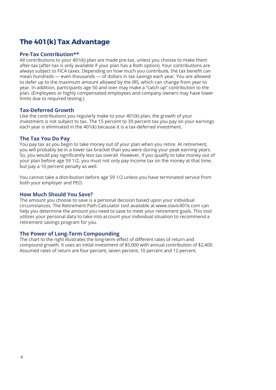# **The 401(k) Tax Advantage**

### **Pre-Tax Contribution\*\***

All contributions to your 401(k) plan are made pre-tax, unless you choose to make them after-tax (after-tax is only available if your plan has a Roth option). Your contributions are always subject to FICA taxes. Depending on how much you contribute, the tax benefit can mean hundreds — even thousands — of dollars in tax savings each year. You are allowed to defer up to the maximum amount allowed by the IRS, which can change from year to year. In addition, participants age 50 and over may make a "catch up" contribution to the plan. (Employees or highly compensated employees and company owners may have lower limits due to required testing.)

#### **Tax-Deferred Growth**

Like the contributions you regularly make to your 401(k) plan, the growth of your investment is not subject to tax. The 15 percent to 39 percent tax you pay on your earnings each year is eliminated in the 401(k) because it is a tax-deferred investment.

#### **The Tax You Do Pay**

You pay tax as you begin to take money out of your plan when you retire. At retirement, you will probably be in a lower tax bracket than you were during your peak earning years. So, you would pay significantly less tax overall. However, if you qualify to take money out of your plan before age 59 1/2, you must not only pay income tax on the money at that time, but pay a 10 percent penalty as well.

You cannot take a distribution before age 59 1/2 unless you have terminated service from both your employer and PEO.

#### **How Much Should You Save?**

The amount you choose to save is a personal decision based upon your individual circumstances. The Retirement Path Calculator tool available at www.slavic401k.com can help you determine the amount you need to save to meet your retirement goals. This tool utilizes your personal data to take into account your individual situation to recommend a retirement savings program for you.

#### **The Power of Long-Term Compounding**

The chart to the right illustrates the long-term effect of different rates of return and compound growth. It uses an initial investment of \$5,000 with annual contribution of \$2,400. Assumed rates of return are four percent, seven percent, 10 percent and 12 percent.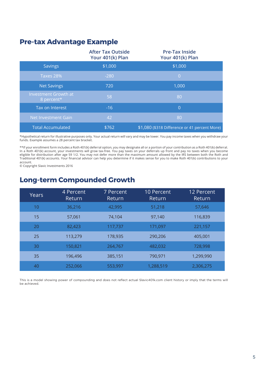### **Pre-tax Advantage Example**

|                                           | <b>After Tax Outside</b><br>Your 401(k) Plan | <b>Pre-Tax Inside</b><br>Your 401(k) Plan     |
|-------------------------------------------|----------------------------------------------|-----------------------------------------------|
| <b>Savings</b>                            | \$1,000                                      | \$1,000                                       |
| Taxes 28%                                 | $-280$                                       | $\overline{0}$                                |
| <b>Net Savings</b>                        | 720                                          | 1,000                                         |
| <b>Investment Growth at</b><br>8 percent* | 58                                           | 80                                            |
| Tax on Interest                           | $-16$                                        | $\Omega$                                      |
| Net Investment Gain                       | 42                                           | 80                                            |
| <b>Total Accumulated</b>                  | \$762                                        | \$1,080 (\$318 Difference or 41 percent More) |

\*Hypothetical return for illustrative purposes only. Your actual return will vary and may be lower. You pay income taxes when you withdraw your funds. Example assumes a 28 percent tax bracket.

\*\*If your enrollment form includes a Roth 401(k) deferral option, you may designate all or a portion of your contribution as a Roth 401(k) deferral.<br>In a Roth 401(k) account, your investments will grow tax-free. You pay ta Traditional 401(k) accounts. Your financial advisor can help you determine if it makes sense for you to make Roth 401(k) contributions to your account.

© Copyright Slavic Investments 2016

# **Long-term Compounded Growth**

| Years | 4 Percent<br>Return | 7 Percent<br>Return | <b>10 Percent</b><br>Return | 12 Percent<br>Return |
|-------|---------------------|---------------------|-----------------------------|----------------------|
| 10    | 36,216              | 42,995              | 51,218                      | 57,646               |
| 15    | 57,061              | 74,104              | 97,140                      | 116,839              |
| 20    | 82,423              | 117,737             | 171,097                     | 221,157              |
| 25    | 113,279             | 178,935             | 290,206                     | 405,001              |
| 30    | 150,821             | 264,767             | 482,032                     | 728,998              |
| 35    | 196,496             | 385,151             | 790,971                     | 1,299,990            |
| 40    | 252,066             | 553,997             | 1,288,519                   | 2,306,275            |

This is a model showing power of compounding and does not reflect actual Slavic401k.com client history or imply that the terms will be achieved.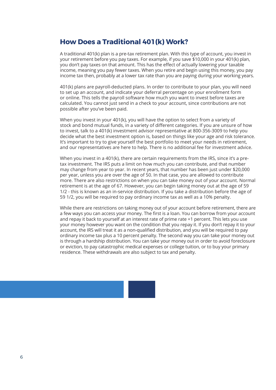### **How Does a Traditional 401(k) Work?**

A traditional 401(k) plan is a pre-tax retirement plan. With this type of account, you invest in your retirement before you pay taxes. For example, if you save \$10,000 in your 401(k) plan, you don't pay taxes on that amount. This has the effect of actually lowering your taxable income, meaning you pay fewer taxes. When you retire and begin using this money, you pay income tax then, probably at a lower tax rate than you are paying during your working years.

401(k) plans are payroll-deducted plans. In order to contribute to your plan, you will need to set up an account, and indicate your deferral percentage on your enrollment form or online. This tells the payroll software how much you want to invest before taxes are calculated. You cannot just send in a check to your account, since contributions are not possible after you've been paid.

When you invest in your 401(k), you will have the option to select from a variety of stock and bond mutual funds, in a variety of different categories. If you are unsure of how to invest, talk to a 401(k) investment advisor representative at 800-356-3009 to help you decide what the best investment option is, based on things like your age and risk tolerance. It's important to try to give yourself the best portfolio to meet your needs in retirement, and our representatives are here to help. There is no additional fee for investment advice.

When you invest in a 401(k), there are certain requirements from the IRS, since it's a pretax investment. The IRS puts a limit on how much you can contribute, and that number may change from year to year. In recent years, that number has been just under \$20,000 per year, unless you are over the age of 50. In that case, you are allowed to contribute more. There are also restrictions on when you can take money out of your account. Normal retirement is at the age of 67. However, you can begin taking money out at the age of 59 1/2 - this is known as an in-service distribution. If you take a distribution before the age of 59 1/2, you will be required to pay ordinary income tax as well as a 10% penalty.

While there are restrictions on taking money out of your account before retirement, there are a few ways you can access your money. The first is a loan. You can borrow from your account and repay it back to yourself at an interest rate of prime rate +1 percent. This lets you use your money however you want on the condition that you repay it. If you don't repay it to your account, the IRS will treat it as a non-qualified distribution, and you will be required to pay ordinary income tax plus a 10 percent penalty. The second way you can take your money out is through a hardship distribution. You can take your money out in order to avoid foreclosure or eviction, to pay catastrophic medical expenses or college tuition, or to buy your primary residence. These withdrawals are also subject to tax and penalty.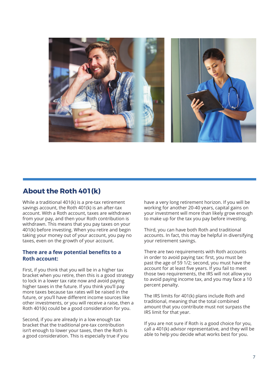

## **About the Roth 401(k)**

While a traditional 401(k) is a pre-tax retirement savings account, the Roth 401(k) is an after-tax account. With a Roth account, taxes are withdrawn from your pay, and then your Roth contribution is withdrawn. This means that you pay taxes on your 401(k) before investing. When you retire and begin taking your money out of your account, you pay no taxes, even on the growth of your account.

### There are a few potential benefits to a **Roth account:**

First, if you think that you will be in a higher tax bracket when you retire, then this is a good strategy to lock in a lower tax rate now and avoid paying higher taxes in the future. If you think you'll pay more taxes because tax rates will be raised in the future, or you'll have different income sources like other investments, or you will receive a raise, then a Roth 401(k) could be a good consideration for you.

Second, if you are already in a low enough tax bracket that the traditional pre-tax contribution isn't enough to lower your taxes, then the Roth is a good consideration. This is especially true if you

have a very long retirement horizon. If you will be working for another 20-40 years, capital gains on your investment will more than likely grow enough to make up for the tax you pay before investing.

Third, you can have both Roth and traditional accounts. In fact, this may be helpful in diversifying your retirement savings.

There are two requirements with Roth accounts in order to avoid paying tax: first, you must be past the age of 59 1/2; second, you must have the account for at least five years. If you fail to meet those two requirements, the IRS will not allow you to avoid paying income tax, and you may face a 10 percent penalty.

The IRS limits for 401(k) plans include Roth and traditional, meaning that the total combined amount that you contribute must not surpass the IRS limit for that year.

If you are not sure if Roth is a good choice for you, call a 401(k) advisor representative, and they will be able to help you decide what works best for you.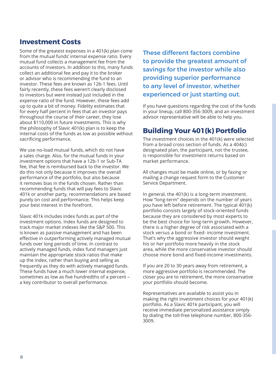### **Investment Costs**

Some of the greatest expenses in a 401(k) plan come from the mutual funds' internal expense ratio. Every mutual fund collects a management fee from the accounts of investors. In addition to this, many funds collect an additional fee and pay it to the broker or advisor who is recommending the fund to an investor. These fees are known as 12b-1 fees. Until fairly recently, these fees weren't clearly disclosed to investors but were instead just included in the expense ratio of the fund. However, these fees add up to quite a bit of money. Fidelity estimates that for every half percent in fees that an investor pays throughout the course of their career, they lose about \$110,000 in future investments. This is why the philosophy of Slavic 401(k) plan is to keep the internal costs of the funds as low as possible without sacrificing performance.

We use no-load mutual funds, which do not have a sales charge. Also, for the mutual funds in your investment options that have a 12b-1 or Sub-TA fee, that fee is reimbursed back to the investor. We do this not only because it improves the overall performance of the portfolio, but also because it removes bias in the funds chosen. Rather than recommending funds that will pay fees to Slavic 401k or another party, recommendations are based purely on cost and performance. This helps keep your best interest in the forefront.

Slavic 401k includes index funds as part of the investment options. Index funds are designed to track major market indexes like the S&P 500. This is known as passive management and has been effective in outperforming actively managed mutual funds over long periods of time. In contrast to actively managed funds, index fund managers just maintain the appropriate stock ratios that make up the index, rather than buying and selling as frequently as they do with actively managed funds. These funds have a much lower internal expense, sometimes as low as five hundredths of a percent  $$ a key contributor to overall performance.

These different factors combine to provide the greatest amount of savings for the investor while also providing superior performance to any level of investor, whether experienced or just starting out.

If you have questions regarding the cost of the funds in your lineup, call 800-356-3009, and an investment advisor representative will be able to help you.

## **Building Your 401(k) Portfolio**

The investment choices in the 401(k) were selected from a broad cross section of funds. As a 404(c) designated plan, the participant, not the trustee, is responsible for investment returns based on market performance.

All changes must be made online, or by faxing or mailing a change request form to the Customer Service Department.

In general, the 401(k) is a long-term investment. How "long-term" depends on the number of years you have left before retirement. The typical 401(k) portfolio consists largely of stock-oriented funds because they are considered by most experts to be the best choice for long-term growth. However, there is a higher degree of risk associated with a stock versus a bond or fixed- income investment. That's why the aggressive investor should weight his or her portfolio more heavily in the stock area, while the more conservative investor should choose more bond and fixed-income investments.

If you are 20 to 30 years away from retirement, a more aggressive portfolio is recommended. The closer you are to retirement, the more conservative your portfolio should become.

Representatives are available to assist you in making the right investment choices for your 401(k) portfolio. As a Slavic 401k participant, you will receive immediate personalized assistance simply by dialing the toll-free telephone number, 800-356- 3009.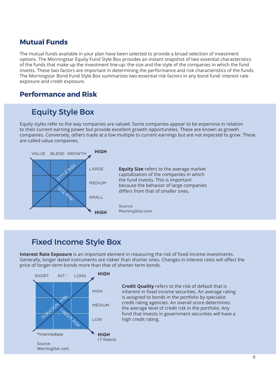# **Mutual Funds**

The mutual funds available in your plan have been selected to provide a broad selection of investment options. The Morningstar Equity Fund Style Box provides an instant snapshot of two essential characteristics of the funds that make up the investment line-up; the size and the style of the companies in which the fund invests. These two factors are important in determining the performance and risk characteristics of the funds. The Morningstar Bond Fund Style Box summarizes two essential risk factors in any bond fund: interest rate exposure and credit exposure.

## **Performance and Risk**

# Equity Style Box

Equity styles refer to the way companies are valued. Some companies appear to be expensive in relation to their current earning power but provide excellent growth opportunities. These are known as growth companies. Conversely, others trade at a low multiple to current earnings but are not expected to grow. These are called value companies.



# Fixed Income Style Box

**Interest Rate Exposure** is an important element in measuring the risk of fixed income investments. Generally, longer dated instruments are riskier than shorter ones. Changes in interest rates will affect the price of longer-term bonds more than that of shorter-term bonds.



**Credit Quality** refers to the risk of default that is inherent in fixed income securities. An average rating is assigned to bonds in the portfolio by specialist credit rating agencies. An overall score determines the average level of credit risk in the portfolio. Any fund that invests in government securities will have a high credit rating.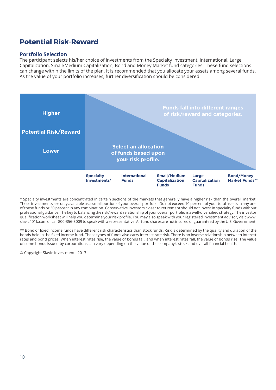# **Potential Risk-Reward**

### **Portfolio Selection**

The participant selects his/her choice of investments from the Specialty Investment, International, Large Capitalization, Small/Medium Capitalization, Bond and Money Market fund categories. These fund selections can change within the limits of the plan. It is recommended that you allocate your assets among several funds. As the value of your portfolio increases, further diversification should be considered.



\* Specialty investments are concentrated in certain sections of the markets that generally have a higher risk than the overall market. These investments are only available as a small portion of your overall portfolio. Do not exceed 10 percent of your total assets in any one of these funds or 30 percent in any combination. Conservative investors closer to retirement should not invest in specialty funds without professional guidance. The key to balancing the risk/reward relationship of your overall portfolio is a well-diversified strategy. The investor qualification worksheet will help you determine your risk profile. You may also speak with your registered investment advisor, visit www. slavic401k.com or call 800-356-3009 to speak with a representative. All fund shares are not insured or guaranteed by the U.S. Government.

\*\* Bond or fixed income funds have different risk characteristics than stock funds. Risk is determined by the quality and duration of the bonds held in the fixed income fund. These types of funds also carry interest rate risk. There is an inverse relationship between interest rates and bond prices. When interest rates rise, the value of bonds fall, and when interest rates fall, the value of bonds rise. The value of some bonds issued by corporations can vary depending on the value of the company's stock and overall financial health.

© Copyright Slavic Investments 2017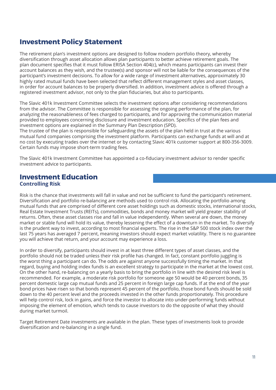# **Investment Policy Statement**

The retirement plan's investment options are designed to follow modern portfolio theory, whereby diversification through asset allocation allows plan participants to better achieve retirement goals. The plan document specifies that it must follow ERISA Section 404(c), which means participants can invest their account balances as they wish, and the trustee(s) and sponsor will not be liable for the consequences of the participant's investment decisions. To allow for a wide range of investment alternatives, approximately 30 highly rated mutual funds have been selected that reflect different management styles and asset classes, in order for account balances to be properly diversified. In addition, investment advice is offered through a registered investment advisor, not only to the plan fiduciaries, but also to participants.

The Slavic 401k Investment Committee selects the investment options after considering recommendations from the advisor. The Committee is responsible for assessing the ongoing performance of the plan, for analyzing the reasonableness of fees charged to participants, and for approving the communication material provided to employees concerning disclosure and investment education. Specifics of the plan fees and investment options are explained in the Summary Plan Description (SPD).

The trustee of the plan is responsible for safeguarding the assets of the plan held in trust at the various mutual fund companies comprising the investment platform. Participants can exchange funds at will and at no cost by executing trades over the internet or by contacting Slavic 401k customer support at 800-356-3009. Certain funds may impose short-term trading fees.

The Slavic 401k Investment Committee has appointed a co-fiduciary investment advisor to render specific investment advice to participants.

### **Investment Education Controlling Risk**

Risk is the chance that investments will fall in value and not be sufficient to fund the participant's retirement. Diversification and portfolio re-balancing are methods used to control risk. Allocating the portfolio among mutual funds that are comprised of different core asset holdings such as domestic stocks, international stocks, Real Estate Investment Trusts (REITs), commodities, bonds and money market will yield greater stability of returns. Often, these asset classes rise and fall in value independently. When several are down, the money market or stable fund will hold its value, thereby lessening the effect of a downturn in the market. To diversify is the prudent way to invest, according to most financial experts. The rise in the S&P 500 stock index over the last 75 years has averaged 7 percent, meaning investors should expect market volatility. There is no guarantee you will achieve that return, and your account may experience a loss.

In order to diversify, participants should invest in at least three different types of asset classes, and the portfolio should not be traded unless their risk profile has changed. In fact, constant portfolio juggling is the worst thing a participant can do. The odds are against anyone successfully timing the market. In that regard, buying and holding index funds is an excellent strategy to participate in the market at the lowest cost. On the other hand, re-balancing on a yearly basis to bring the portfolio in line with the desired risk level is recommended. For example, a moderate risk portfolio for someone age 50 would be 40 percent bonds, 35 percent domestic large cap mutual funds and 25 percent in foreign large cap funds. If at the end of the year bond prices have risen so that bonds represent 45 percent of the portfolio, those bond funds should be sold down to the 40 percent level and the proceeds invested in the other funds proportionately. This procedure will help control risk, lock in gains, and force the investor to allocate into under-performing funds without imposing the element of emotion, which tends to cause investors to do the opposite of what they should during market turmoil.

Target Retirement Date investments are available in the plan. These types of investments look to provide diversification and re-balancing in a single fund.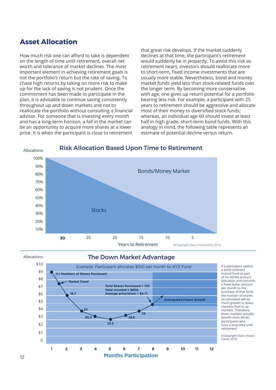## **Asset Allocation**

How much risk one can afford to take is dependent on the length of time until retirement, overall net worth and tolerance of market declines. The most important element in achieving retirement goals is not the portfolio's return but the rate of saving. To chase high returns by taking on more risk to make up for the lack of saving is not prudent. Once the commitment has been made to participate in the plan, it is advisable to continue saving consistently throughout up and down markets and not to reallocate the portfolio without consulting a financial advisor. For someone that is investing every month and has a long-term horizon, a fall in the market can be an opportunity to acquire more shares at a lower price. It is when the participant is close to retirement

that great risk develops. If the market suddenly declines at that time, the participant's retirement would suddenly be in jeopardy. To avoid this risk as retirement nears, investors should reallocate more to short-term, fixed income investments that are usually more stable. Nevertheless, bond and money market funds yield less than stock-related funds over the longer term. By becoming more conservative with age, one gives up return potential for a portfolio bearing less risk. For example, a participant with 25 years to retirement should be aggressive and allocate most of their money to diversified stock funds; whereas, an individual age 60 should invest at least half in high grade, short-term bond funds. With this analogy in mind, the following table represents an estimate of potential decline versus return.



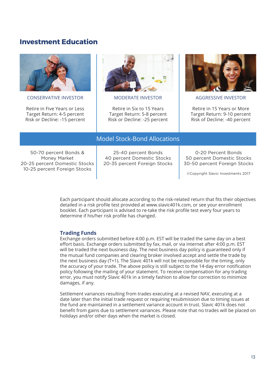### **Investment Education**



CONSERVATIVE INVESTOR

Retire in Five Years or Less Target Return: 4-5 percent Risk or Decline: -15 percent



MODERATE INVESTOR

Retire in Six to 15 Years Target Return: 5-8 percent Risk or Decline: -25 percent



AGGRESSIVE INVESTOR

Retire in 15 Years or More Target Return: 9-10 percent Risk of Decline: -40 percent

# Model Stock-Bond Allocations

50-70 percent Bonds & Money Market 20-25 percent Domestic Stocks 10-25 percent Foreign Stocks

25-40 percent Bonds 40 percent Domestic Stocks 20-35 percent Foreign Stocks

0-20 Percent Bonds 50 percent Domestic Stocks 30-50 percent Foreign Stocks

©Copyright Slavic Investments 2017

Each participant should allocate according to the risk-related return that fits their objectives detailed in a risk profile test provided at www.slavic401k.com, or see your enrollment booklet. Each participant is advised to re-take the risk profile test every four years to determine if his/her risk profile has changed.

### **Trading Funds**

Exchange orders submitted before 4:00 p.m. EST will be traded the same day on a best effort basis. Exchange orders submitted by fax, mail, or via internet after 4:00 p.m. EST will be traded the next business day. The next business day policy is guaranteed only if the mutual fund companies and clearing broker involved accept and settle the trade by the next business day (T+1). The Slavic 401k will not be responsible for the timing, only the accuracy of your trade. The above policy is still subject to the 14-day error notification policy following the mailing of your statement. To receive compensation for any trading error, you must notify Slavic 401k in a timely fashion to allow for correction to minimize damages, if any.

Settlement variances resulting from trades executing at a revised NAV, executing at a date later than the initial trade request or requiring resubmission due to timing issues at the fund are maintained in a settlement variance account in trust. Slavic 401k does not benefit from gains due to settlement variances. Please note that no trades will be placed on holidays and/or other days when the market is closed.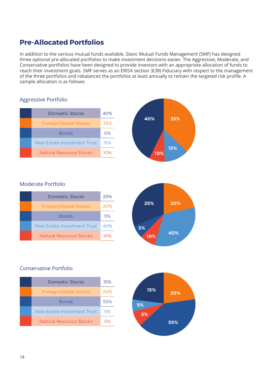# **Pre-Allocated Portfolios**

In addition to the various mutual funds available, Slavic Mutual Funds Management (SMF) has designed three optional pre-allocated portfolios to make investment decisions easier. The Aggressive, Moderate, and Conservative portfolios have been designed to provide investors with an appropriate allocation of funds to reach their investment goals. SMF serves as an ERISA section 3(38) Fiduciary with respect to the management of the three portfolios and rebalances the portfolios at least annually to remain the targeted risk profile. A sample allocation is as follows:

| essive Portfolio                    |     |     |    |
|-------------------------------------|-----|-----|----|
| <b>Domestic Stocks</b>              | 40% |     |    |
| Foreign/Global Stocks               | 35% | 40% | 3  |
| <b>Bonds</b>                        | O%  |     |    |
| <b>Real Estate Investment Trust</b> | 15% |     |    |
| <b>Natural Resource Stocks</b>      | 10% | 10% | 15 |

## Aggressive Portfolio

### Moderate Portfolio

| Domestic Stocks              | 25% |
|------------------------------|-----|
| Foreign/Global Stocks        | 20% |
| <b>Bonds</b>                 | 5%  |
| Real Estate Investment Trust | 40% |
| Natural Resource Stocks      | 1∩% |



**40% 35%**

**15%**

### Conservative Portfolio

| Domestic Stocks              | 15% |
|------------------------------|-----|
| Foreign/Global Stocks        | 20% |
| <b>Bonds</b>                 | 55% |
| Real Estate Investment Trust | 5%  |
| Natural Resource Stocks      | 5%  |

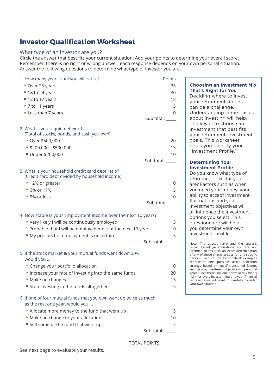# **Investor Qualification Worksheet**

#### What type of an investor are you?

Circle the answer that best fits your current situation. Add your points to determine your overall score. Remember, there is no right or wrong answer; each response depends on your own personal situation. Answer the following questions to determine what type of investor you are.

| 1. How many years until you will retire?                                                            | Points           |
|-----------------------------------------------------------------------------------------------------|------------------|
| ° Over 25 years                                                                                     | 35               |
| ° 18 to 24 years                                                                                    | 30               |
| ° 12 to 17 years                                                                                    | 18               |
| ° 7 to 11 years                                                                                     | 15               |
| <sup>o</sup> Less than 7 years                                                                      | 0                |
|                                                                                                     | Sub total: _____ |
| 2. What is your liquid net worth?                                                                   |                  |
| (Total of stocks, bonds, and cash you own)                                                          |                  |
| ° Over \$500,000                                                                                    | 20               |
| $\circ$ \$200,000 - \$500,000                                                                       | 13               |
| ° Under \$200,000                                                                                   | 10               |
|                                                                                                     | Sub total: _____ |
|                                                                                                     |                  |
| 3. What is your household credit card debt ratio?<br>(Credit card debt divided by household income) |                  |
| • 12% or greater                                                                                    | 0                |
| <sup>o</sup> 6% or 11%                                                                              | 5                |
| ○ 5% or less                                                                                        | 10               |
|                                                                                                     | Sub total: ____  |
|                                                                                                     |                  |
| 4. How stable is your Employment Income over the next 10 years?                                     |                  |
| ° Very likely I will be continuously employed                                                       | 15               |
| o Probable that I will be employed most of the next 10 years                                        | 10               |
| <sup>o</sup> My prospect of employment is uncertain                                                 | 5                |
|                                                                                                     | Sub total:       |
|                                                                                                     |                  |
| 5. If the stock market & your mutual funds went down 30%,<br>would you                              |                  |
| <sup>o</sup> Change your portfolio allocation                                                       | 10               |
| <sup>o</sup> Increase your rate of investing into the same funds                                    | 20               |
| <sup>o</sup> Make no changes                                                                        | 15               |
| ° Stop investing in the funds altogether                                                            | 5                |
| 6. If one of four mutual funds that you own went up twice as much                                   |                  |
| as the rest one year, would you                                                                     |                  |
| <sup>o</sup> Allocate more money to the fund that went up                                           | 15               |
| <sup>o</sup> Make no change to your allocations                                                     | 10               |
| ° Sell some of the fund that went up                                                                | 5                |
|                                                                                                     | Sub total:       |

TOTAL POINTS:

See next page to evaluate your results.

### **Choosing an Investment Mix That's Right for You**

Deciding where to invest your retirement dollars can be a challenge. Understanding some basics about investing will help. The key is to choose an investment that best fits your retirement investment goals. This worksheet helps you identify your "Investment Profile."

#### **Determining Your Investment Profile**

Do you know what type of retirement investor you are? Factors such as when you need your money, your ability to accept investment fluctuations and your investment objectives will all influence the investment options you select. This questionnaire will help you determine your own investment profile.

Note: The questionnaire and the analysis<br>reflect broad generalizations and are not intended to result in an exact determination of any of these characteristics for any specific person. Each of the hypothetical examples represents one possible asset allocation<br>strategy-based on-specific-assumed-factors such as age, investment objective and personal goals. Since there isn't one portfolio mix that is right for every investor, you and your financial representative will want to carefully consider your own situation.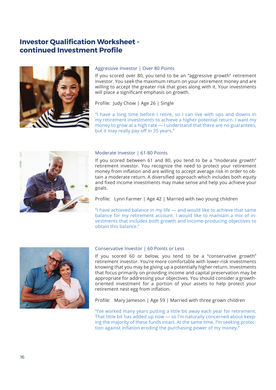# **Investor Qualification Worksheet continued Investment Profile**



#### Aggressive Investor | Over 80 Points

If you scored over 80, you tend to be an "aggressive growth" retirement investor. You seek the maximum return on your retirement money and are willing to accept the greater risk that goes along with it. Your investments will place a significant emphasis on growth.

Profile: Judy Chow | Age 26 | Single

"I have a long time before I retire, so I can live with ups and downs in my retirement investments to achieve a higher potential return. I want my money to grow at a high rate — I understand that there are no guarantees, but it may really pay off in 35 years."



#### Moderate Investor | 61-80 Points

If you scored between 61 and 80, you tend to be a "moderate growth" retirement investor. You recognize the need to protect your retirement money from inflation and are willing to accept average risk in order to obtain a moderate return. A diversified approach which includes both equity and fixed income investments may make sense and help you achieve your goals.

Profile: Lynn Farmer | Age 42 | Married with two young children

"I have achieved balance in my life — and would like to achieve that same balance for my retirement account. I would like to maintain a mix of investments that includes both growth and income-producing objectives to obtain this balance."



#### Conservative Investor | 60 Points or Less

If you scored 60 or below, you tend to be a "conservative growth" retirement investor. You're more comfortable with lower-risk investments knowing that you may be giving up a potentially higher return. Investments that focus primarily on providing income and capital preservation may be appropriate for addressing your objectives. You should consider a growthoriented investment for a portion of your assets to help protect your retirement nest egg from inflation.

Profile: Mary Jameson | Age 59 | Married with three grown children

"I've worked many years putting a little bit away each year for retirement. That little bit has added up now — so I'm naturally concerned about keeping the majority of these funds intact. At the same time, I'm seeking protection against inflation eroding the purchasing power of my money."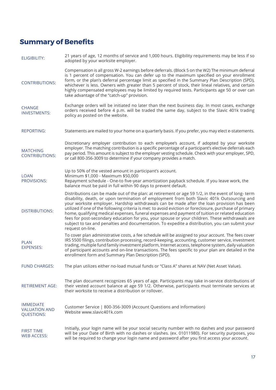# **Summary of Benefits**

| <b>ELIGIBILITY:</b>                                           | 21 years of age, 12 months of service and 1,000 hours. Eligibility requirements may be less if so<br>adopted by your worksite employer.                                                                                                                                                                                                                                                                                                                                                                                                                                                                                                                                                                                              |
|---------------------------------------------------------------|--------------------------------------------------------------------------------------------------------------------------------------------------------------------------------------------------------------------------------------------------------------------------------------------------------------------------------------------------------------------------------------------------------------------------------------------------------------------------------------------------------------------------------------------------------------------------------------------------------------------------------------------------------------------------------------------------------------------------------------|
| <b>CONTRIBUTIONS:</b>                                         | Compensation is all gross W-2 earnings before deferrals. (Block 5 on the W2) The minimum deferral<br>is 1 percent of compensation. You can defer up to the maximum specified on your enrollment<br>form, or the plan's deferral percentage limit as specified in the Summary Plan Description (SPD),<br>whichever is less. Owners with greater than 5 percent of stock, their lineal relatives, and certain<br>highly compensated employees may be limited by required tests. Participants age 50 or over can<br>take advantage of the "catch-up" provision.                                                                                                                                                                         |
| <b>CHANGE</b><br><b>INVESTMENTS:</b>                          | Exchange orders will be initiated no later than the next business day. In most cases, exchange<br>orders received before 4 p.m. will be traded the same day, subject to the Slavic 401k trading<br>policy as posted on the website.                                                                                                                                                                                                                                                                                                                                                                                                                                                                                                  |
| <b>REPORTING:</b>                                             | Statements are mailed to your home on a quarterly basis. If you prefer, you may elect e-statements.                                                                                                                                                                                                                                                                                                                                                                                                                                                                                                                                                                                                                                  |
| <b>MATCHING</b><br><b>CONTRIBUTIONS:</b>                      | Discretionary employer contribution to each employee's account, if adopted by your worksite<br>employer. The matching contribution is a specific percentage of a participant's elective deferrals each<br>pay period. This amount is subject to the employer vesting schedule. Check with your employer, SPD,<br>or call 800-356-3009 to determine if your company provides a match.                                                                                                                                                                                                                                                                                                                                                 |
| <b>LOAN</b><br>PROVISIONS:                                    | Up to 50% of the vested amount in participant's account.<br>Minimum \$1,000 - Maximum \$50,000<br>Repayment schedule - One-to five-year amortization payback schedule. If you leave work, the<br>balance must be paid in full within 90 days to prevent default.                                                                                                                                                                                                                                                                                                                                                                                                                                                                     |
| <b>DISTRIBUTIONS:</b>                                         | Distributions can be made out of the plan: at retirement or age 59 1/2, in the event of long-term<br>disability, death, or upon termination of employment from both Slavic 401k Outsourcing and<br>your worksite employer. Hardship withdrawals can be made after the loan provision has been<br>utilized if one of the following criteria is met: to avoid eviction or foreclosure, purchase of primary<br>home, qualifying medical expenses, funeral expenses and payment of tuition or related education<br>fees for post-secondary education for you, your spouse or your children. These withdrawals are<br>subject to tax and penalties and documentation. To expedite a distribution, you can submit your<br>request on-line. |
| <b>PLAN</b><br><b>EXPENSES:</b>                               | To cover plan administrative costs, a fee schedule will be assigned to your account. The fees cover<br>IRS 5500 filings, contribution processing, record-keeping, accounting, customer service, investment<br>trading, multiple fund family investment platform, Internet access, telephone system, daily valuation<br>of participant accounts and on-line transactions. The fees specific to your plan are detailed in the<br>enrollment form and Summary Plan Description (SPD).                                                                                                                                                                                                                                                   |
| <b>FUND CHARGES:</b>                                          | The plan utilizes either no-load mutual funds or "Class A" shares at NAV (Net Asset Value).                                                                                                                                                                                                                                                                                                                                                                                                                                                                                                                                                                                                                                          |
| RETIREMENT AGE:                                               | The plan document recognizes 65 years of age. Participants may take in-service distributions of<br>their vested account balance at age 59 1/2. Otherwise, participants must terminate services at<br>their worksite to receive a distribution or rollover.                                                                                                                                                                                                                                                                                                                                                                                                                                                                           |
| <b>IMMEDIATE</b><br><b>VALUATION AND</b><br><b>QUESTIONS:</b> | Customer Service   800-356-3009 (Account Questions and Information)<br>Website www.slavic401k.com                                                                                                                                                                                                                                                                                                                                                                                                                                                                                                                                                                                                                                    |
| <b>FIRST TIME</b><br>WEB ACCESS:                              | Initially, your login name will be your social security number with no dashes and your password<br>will be your Date of Birth with no dashes or slashes. (ex. 01011980). For security purposes, you<br>will be required to change your login name and password after you first access your account.                                                                                                                                                                                                                                                                                                                                                                                                                                  |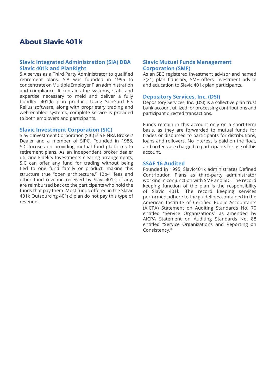# **About Slavic 401k**

#### **Slavic Integrated Administration (SIA) DBA Slavic 401k and PlanRight**

SIA serves as a Third Party Administrator to qualified retirement plans. SIA was founded in 1995 to concentrate on Multiple Employer Plan administration and compliance. It contains the systems, staff, and expertise necessary to meld and deliver a fully bundled 401(k) plan product. Using SunGard FIS Relius software, along with proprietary trading and web-enabled systems, complete service is provided to both employers and participants.

#### **Slavic Investment Corporation (SIC)**

Slavic Investment Corporation (SIC) is a FINRA Broker/ Dealer and a member of SIPC. Founded in 1988, SIC focuses on providing mutual fund platforms to retirement plans. As an independent broker dealer utilizing Fidelity Investments clearing arrangements, SIC can offer any fund for trading without being tied to one fund family or product, making this structure true "open architecture." 12b-1 fees and other fund revenue received by Slavic401k, if any, are reimbursed back to the participants who hold the funds that pay them. Most funds offered in the Slavic 401k Outsourcing 401(k) plan do not pay this type of revenue.

#### **Slavic Mutual Funds Management Corporation (SMF)**

As an SEC registered investment advisor and named 3(21) plan fiduciary, SMF offers investment advice and education to Slavic 401k plan participants.

#### **Depository Services, Inc. (DSI)**

Depository Services, Inc. (DSI) is a collective plan trust bank account utilized for processing contributions and participant directed transactions.

Funds remain in this account only on a short-term basis, as they are forwarded to mutual funds for trades or disbursed to participants for distributions, loans and rollovers. No interest is paid on the float, and no fees are charged to participants for use of this account.

#### **SSAE 16 Audited**

Founded in 1995, Slavic401k administrates Defined Contribution Plans as third-party administrator working in conjunction with SMF and SIC. The record keeping function of the plan is the responsibility of Slavic 401k. The record keeping services performed adhere to the guidelines contained in the American Institute of Certified Public Accountants (AICPA) Statement on Auditing Standards No. 70 entitled "Service Organizations" as amended by AICPA Statement on Auditing Standards No. 88 entitled "Service Organizations and Reporting on Consistency."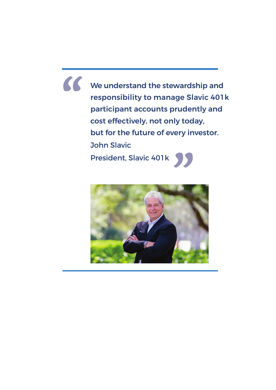We understand the stewardship and responsibility to manage Slavic 401k participant accounts prudently and cost effectively, not only today, but for the future of every investor. John Slavic President, Slavic 401k **" 95**